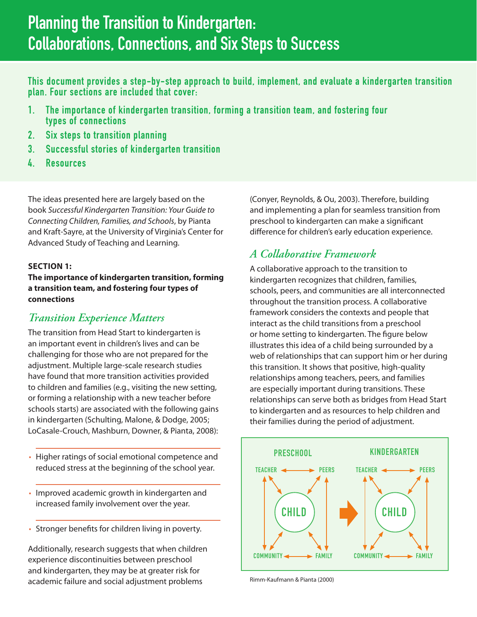# Planning the Transition to Kindergarten: Collaborations, Connections, and Six Steps to Success

This document provides a step-by-step approach to build, implement, and evaluate a kindergarten transition plan. Four sections are included that cover:

- 1. The importance of kindergarten transition, forming a transition team, and fostering four types of connections
- 2. Six steps to transition planning
- 3. Successful stories of kindergarten transition
- 4. Resources

The ideas presented here are largely based on the book *Successful Kindergarten Transition: Your Guide to Connecting Children, Families, and Schools*, by Pianta and Kraft-Sayre, at the University of Virginia's Center for Advanced Study of Teaching and Learning.

## **SECTION 1:**

**The importance of kindergarten transition, forming a transition team, and fostering four types of connections**

## *Transition Experience Matters*

The transition from Head Start to kindergarten is an important event in children's lives and can be challenging for those who are not prepared for the adjustment. Multiple large-scale research studies have found that more transition activities provided to children and families (e.g., visiting the new setting, or forming a relationship with a new teacher before schools starts) are associated with the following gains in kindergarten (Schulting, Malone, & Dodge, 2005; LoCasale-Crouch, Mashburn, Downer, & Pianta, 2008):

- Higher ratings of social emotional competence and reduced stress at the beginning of the school year.
- Improved academic growth in kindergarten and increased family involvement over the year.
- Stronger benefits for children living in poverty.

Additionally, research suggests that when children experience discontinuities between preschool and kindergarten, they may be at greater risk for academic failure and social adjustment problems

(Conyer, Reynolds, & Ou, 2003). Therefore, building and implementing a plan for seamless transition from preschool to kindergarten can make a significant difference for children's early education experience.

# *A Collaborative Framework*

A collaborative approach to the transition to kindergarten recognizes that children, families, schools, peers, and communities are all interconnected throughout the transition process. A collaborative framework considers the contexts and people that interact as the child transitions from a preschool or home setting to kindergarten. The figure below illustrates this idea of a child being surrounded by a web of relationships that can support him or her during this transition. It shows that positive, high-quality relationships among teachers, peers, and families are especially important during transitions. These relationships can serve both as bridges from Head Start to kindergarten and as resources to help children and their families during the period of adjustment.



Rimm-Kaufmann & Pianta (2000)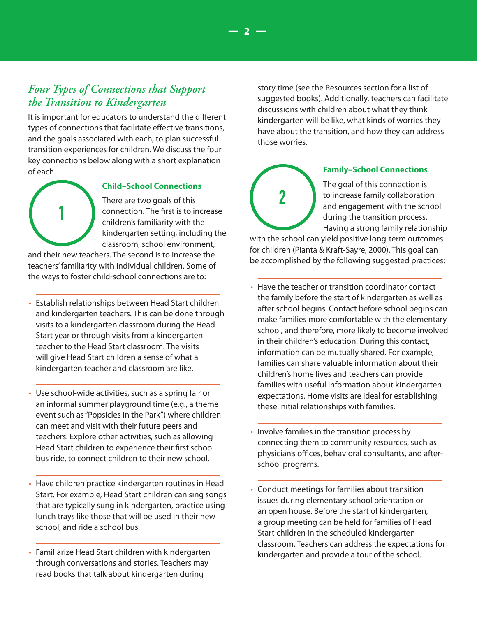# *Four Types of Connections that Support the Transition to Kindergarten*

It is important for educators to understand the different types of connections that facilitate effective transitions, and the goals associated with each, to plan successful transition experiences for children. We discuss the four key connections below along with a short explanation of each.

1

## **Child–School Connections**

There are two goals of this connection. The first is to increase children's familiarity with the kindergarten setting, including the classroom, school environment,

and their new teachers. The second is to increase the teachers' familiarity with individual children. Some of the ways to foster child-school connections are to:

- Establish relationships between Head Start children and kindergarten teachers. This can be done through visits to a kindergarten classroom during the Head Start year or through visits from a kindergarten teacher to the Head Start classroom. The visits will give Head Start children a sense of what a kindergarten teacher and classroom are like.
- Use school-wide activities, such as a spring fair or an informal summer playground time (e.g., a theme event such as "Popsicles in the Park") where children can meet and visit with their future peers and teachers. Explore other activities, such as allowing Head Start children to experience their first school bus ride, to connect children to their new school.
- Have children practice kindergarten routines in Head Start. For example, Head Start children can sing songs that are typically sung in kindergarten, practice using lunch trays like those that will be used in their new school, and ride a school bus.
- Familiarize Head Start children with kindergarten through conversations and stories. Teachers may read books that talk about kindergarten during

story time (see the Resources section for a list of suggested books). Additionally, teachers can facilitate discussions with children about what they think kindergarten will be like, what kinds of worries they have about the transition, and how they can address those worries.



#### **Family–School Connections**

The goal of this connection is to increase family collaboration and engagement with the school during the transition process. Having a strong family relationship

with the school can yield positive long-term outcomes for children (Pianta & Kraft-Sayre, 2000). This goal can be accomplished by the following suggested practices:

- Have the teacher or transition coordinator contact the family before the start of kindergarten as well as after school begins. Contact before school begins can make families more comfortable with the elementary school, and therefore, more likely to become involved in their children's education. During this contact, information can be mutually shared. For example, families can share valuable information about their children's home lives and teachers can provide families with useful information about kindergarten expectations. Home visits are ideal for establishing these initial relationships with families.
- Involve families in the transition process by connecting them to community resources, such as physician's offices, behavioral consultants, and afterschool programs.
- Conduct meetings for families about transition issues during elementary school orientation or an open house. Before the start of kindergarten, a group meeting can be held for families of Head Start children in the scheduled kindergarten classroom. Teachers can address the expectations for kindergarten and provide a tour of the school.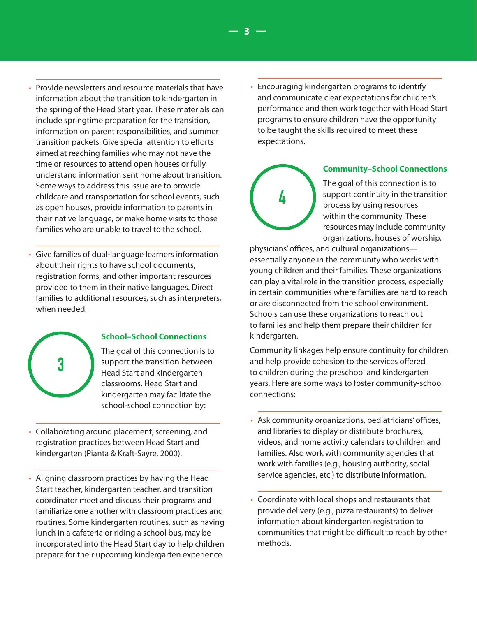- Provide newsletters and resource materials that have information about the transition to kindergarten in the spring of the Head Start year. These materials can include springtime preparation for the transition, information on parent responsibilities, and summer transition packets. Give special attention to efforts aimed at reaching families who may not have the time or resources to attend open houses or fully understand information sent home about transition. Some ways to address this issue are to provide childcare and transportation for school events, such as open houses, provide information to parents in their native language, or make home visits to those families who are unable to travel to the school.
- Give families of dual-language learners information about their rights to have school documents, registration forms, and other important resources provided to them in their native languages. Direct families to additional resources, such as interpreters, when needed.



#### **School–School Connections**

The goal of this connection is to support the transition between Head Start and kindergarten classrooms. Head Start and kindergarten may facilitate the school-school connection by:

- Collaborating around placement, screening, and registration practices between Head Start and kindergarten (Pianta & Kraft-Sayre, 2000).
- Aligning classroom practices by having the Head Start teacher, kindergarten teacher, and transition coordinator meet and discuss their programs and familiarize one another with classroom practices and routines. Some kindergarten routines, such as having lunch in a cafeteria or riding a school bus, may be incorporated into the Head Start day to help children prepare for their upcoming kindergarten experience.

• Encouraging kindergarten programs to identify and communicate clear expectations for children's performance and then work together with Head Start programs to ensure children have the opportunity to be taught the skills required to meet these expectations.



 **— 3 —**

## **Community–School Connections**

The goal of this connection is to support continuity in the transition process by using resources within the community. These resources may include community organizations, houses of worship,

physicians' offices, and cultural organizations essentially anyone in the community who works with young children and their families. These organizations can play a vital role in the transition process, especially in certain communities where families are hard to reach or are disconnected from the school environment. Schools can use these organizations to reach out to families and help them prepare their children for kindergarten.

Community linkages help ensure continuity for children and help provide cohesion to the services offered to children during the preschool and kindergarten years. Here are some ways to foster community-school connections:

- Ask community organizations, pediatricians' offices, and libraries to display or distribute brochures, videos, and home activity calendars to children and families. Also work with community agencies that work with families (e.g., housing authority, social service agencies, etc.) to distribute information.
- Coordinate with local shops and restaurants that provide delivery (e.g., pizza restaurants) to deliver information about kindergarten registration to communities that might be difficult to reach by other methods.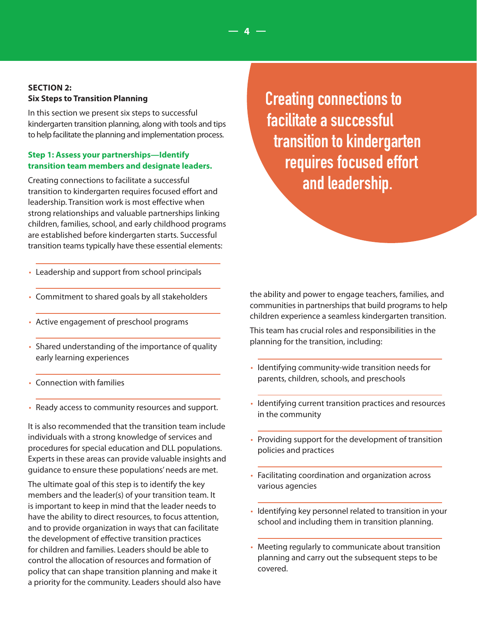## **SECTION 2: Six Steps to Transition Planning**

In this section we present six steps to successful kindergarten transition planning, along with tools and tips to help facilitate the planning and implementation process.

## **Step 1: Assess your partnerships—Identify transition team members and designate leaders.**

Creating connections to facilitate a successful transition to kindergarten requires focused effort and leadership. Transition work is most effective when strong relationships and valuable partnerships linking children, families, school, and early childhood programs are established before kindergarten starts. Successful transition teams typically have these essential elements:

- Leadership and support from school principals
- Commitment to shared goals by all stakeholders
- Active engagement of preschool programs
- Shared understanding of the importance of quality early learning experiences
- Connection with families
- Ready access to community resources and support.

It is also recommended that the transition team include individuals with a strong knowledge of services and procedures for special education and DLL populations. Experts in these areas can provide valuable insights and guidance to ensure these populations' needs are met.

The ultimate goal of this step is to identify the key members and the leader(s) of your transition team. It is important to keep in mind that the leader needs to have the ability to direct resources, to focus attention, and to provide organization in ways that can facilitate the development of effective transition practices for children and families. Leaders should be able to control the allocation of resources and formation of policy that can shape transition planning and make it a priority for the community. Leaders should also have Creating connections to facilitate a successful transition to kindergarten requires focused effort and leadership.

 **— 4 —**

the ability and power to engage teachers, families, and communities in partnerships that build programs to help children experience a seamless kindergarten transition.

This team has crucial roles and responsibilities in the planning for the transition, including:

- Identifying community-wide transition needs for parents, children, schools, and preschools
- Identifying current transition practices and resources in the community
- Providing support for the development of transition policies and practices
- Facilitating coordination and organization across various agencies
- Identifying key personnel related to transition in your school and including them in transition planning.
- Meeting regularly to communicate about transition planning and carry out the subsequent steps to be covered.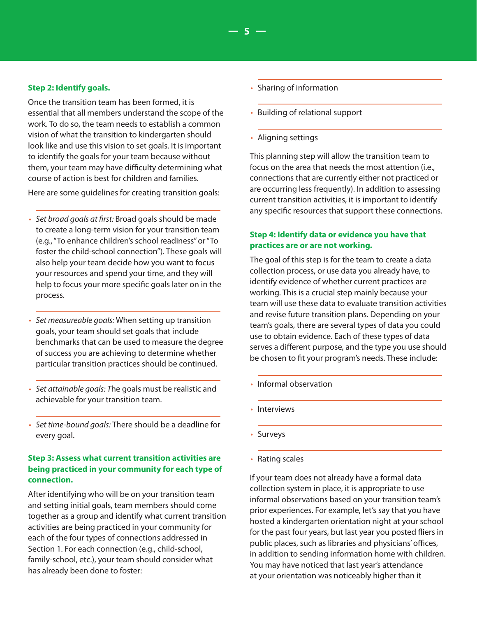#### **Step 2: Identify goals.**

Once the transition team has been formed, it is essential that all members understand the scope of the work. To do so, the team needs to establish a common vision of what the transition to kindergarten should look like and use this vision to set goals. It is important to identify the goals for your team because without them, your team may have difficulty determining what course of action is best for children and families.

Here are some guidelines for creating transition goals:

- *Set broad goals at first:* Broad goals should be made to create a long-term vision for your transition team (e.g., "To enhance children's school readiness" or "To foster the child-school connection"). These goals will also help your team decide how you want to focus your resources and spend your time, and they will help to focus your more specific goals later on in the process.
- *Set measureable goals:* When setting up transition goals, your team should set goals that include benchmarks that can be used to measure the degree of success you are achieving to determine whether particular transition practices should be continued.
- *Set attainable goals: T*he goals must be realistic and achievable for your transition team.
- *Set time-bound goals:* There should be a deadline for every goal.

## **Step 3: Assess what current transition activities are being practiced in your community for each type of connection.**

After identifying who will be on your transition team and setting initial goals, team members should come together as a group and identify what current transition activities are being practiced in your community for each of the four types of connections addressed in Section 1. For each connection (e.g., child-school, family-school, etc.), your team should consider what has already been done to foster:

- Sharing of information
- Building of relational support
- Aligning settings

 **— 5 —**

This planning step will allow the transition team to focus on the area that needs the most attention (i.e., connections that are currently either not practiced or are occurring less frequently). In addition to assessing current transition activities, it is important to identify any specific resources that support these connections.

## **Step 4: Identify data or evidence you have that practices are or are not working.**

The goal of this step is for the team to create a data collection process, or use data you already have, to identify evidence of whether current practices are working. This is a crucial step mainly because your team will use these data to evaluate transition activities and revise future transition plans. Depending on your team's goals, there are several types of data you could use to obtain evidence. Each of these types of data serves a different purpose, and the type you use should be chosen to fit your program's needs. These include:

- Informal observation
- Interviews
- Surveys
- Rating scales

If your team does not already have a formal data collection system in place, it is appropriate to use informal observations based on your transition team's prior experiences. For example, let's say that you have hosted a kindergarten orientation night at your school for the past four years, but last year you posted fliers in public places, such as libraries and physicians' offices, in addition to sending information home with children. You may have noticed that last year's attendance at your orientation was noticeably higher than it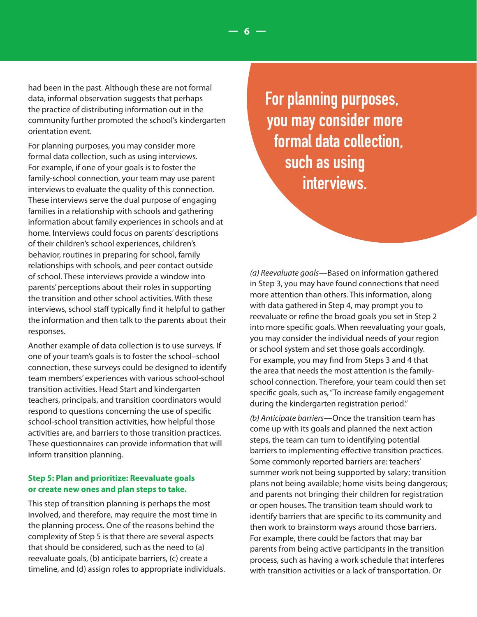had been in the past. Although these are not formal data, informal observation suggests that perhaps the practice of distributing information out in the community further promoted the school's kindergarten orientation event.

For planning purposes, you may consider more formal data collection, such as using interviews. For example, if one of your goals is to foster the family-school connection, your team may use parent interviews to evaluate the quality of this connection. These interviews serve the dual purpose of engaging families in a relationship with schools and gathering information about family experiences in schools and at home. Interviews could focus on parents' descriptions of their children's school experiences, children's behavior, routines in preparing for school, family relationships with schools, and peer contact outside of school. These interviews provide a window into parents' perceptions about their roles in supporting the transition and other school activities. With these interviews, school staff typically find it helpful to gather the information and then talk to the parents about their responses.

Another example of data collection is to use surveys. If one of your team's goals is to foster the school–school connection, these surveys could be designed to identify team members' experiences with various school-school transition activities. Head Start and kindergarten teachers, principals, and transition coordinators would respond to questions concerning the use of specific school-school transition activities, how helpful those activities are, and barriers to those transition practices. These questionnaires can provide information that will inform transition planning.

## **Step 5: Plan and prioritize: Reevaluate goals or create new ones and plan steps to take.**

This step of transition planning is perhaps the most involved, and therefore, may require the most time in the planning process. One of the reasons behind the complexity of Step 5 is that there are several aspects that should be considered, such as the need to (a) reevaluate goals, (b) anticipate barriers, (c) create a timeline, and (d) assign roles to appropriate individuals. For planning purposes, you may consider more formal data collection, such as using interviews.

 **— 6 —**

*(a) Reevaluate goals*—Based on information gathered in Step 3, you may have found connections that need more attention than others. This information, along with data gathered in Step 4, may prompt you to reevaluate or refine the broad goals you set in Step 2 into more specific goals. When reevaluating your goals, you may consider the individual needs of your region or school system and set those goals accordingly. For example, you may find from Steps 3 and 4 that the area that needs the most attention is the familyschool connection. Therefore, your team could then set specific goals, such as, "To increase family engagement during the kindergarten registration period."

*(b) Anticipate barriers*—Once the transition team has come up with its goals and planned the next action steps, the team can turn to identifying potential barriers to implementing effective transition practices. Some commonly reported barriers are: teachers' summer work not being supported by salary; transition plans not being available; home visits being dangerous; and parents not bringing their children for registration or open houses. The transition team should work to identify barriers that are specific to its community and then work to brainstorm ways around those barriers. For example, there could be factors that may bar parents from being active participants in the transition process, such as having a work schedule that interferes with transition activities or a lack of transportation. Or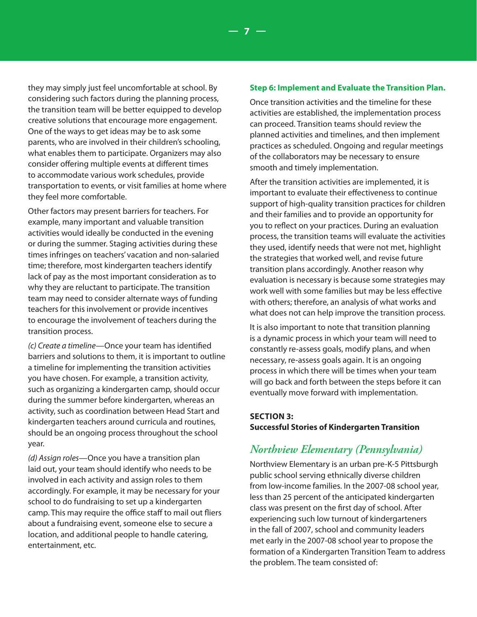they may simply just feel uncomfortable at school. By considering such factors during the planning process, the transition team will be better equipped to develop creative solutions that encourage more engagement. One of the ways to get ideas may be to ask some parents, who are involved in their children's schooling, what enables them to participate. Organizers may also consider offering multiple events at different times to accommodate various work schedules, provide transportation to events, or visit families at home where they feel more comfortable.

Other factors may present barriers for teachers. For example, many important and valuable transition activities would ideally be conducted in the evening or during the summer. Staging activities during these times infringes on teachers' vacation and non-salaried time; therefore, most kindergarten teachers identify lack of pay as the most important consideration as to why they are reluctant to participate. The transition team may need to consider alternate ways of funding teachers for this involvement or provide incentives to encourage the involvement of teachers during the transition process.

*(c) Create a timeline*—Once your team has identified barriers and solutions to them, it is important to outline a timeline for implementing the transition activities you have chosen. For example, a transition activity, such as organizing a kindergarten camp, should occur during the summer before kindergarten, whereas an activity, such as coordination between Head Start and kindergarten teachers around curricula and routines, should be an ongoing process throughout the school year.

*(d) Assign roles*—Once you have a transition plan laid out, your team should identify who needs to be involved in each activity and assign roles to them accordingly. For example, it may be necessary for your school to do fundraising to set up a kindergarten camp. This may require the office staff to mail out fliers about a fundraising event, someone else to secure a location, and additional people to handle catering, entertainment, etc.

#### **Step 6: Implement and Evaluate the Transition Plan.**

 **— 7 —**

Once transition activities and the timeline for these activities are established, the implementation process can proceed. Transition teams should review the planned activities and timelines, and then implement practices as scheduled. Ongoing and regular meetings of the collaborators may be necessary to ensure smooth and timely implementation.

After the transition activities are implemented, it is important to evaluate their effectiveness to continue support of high-quality transition practices for children and their families and to provide an opportunity for you to reflect on your practices. During an evaluation process, the transition teams will evaluate the activities they used, identify needs that were not met, highlight the strategies that worked well, and revise future transition plans accordingly. Another reason why evaluation is necessary is because some strategies may work well with some families but may be less effective with others; therefore, an analysis of what works and what does not can help improve the transition process.

It is also important to note that transition planning is a dynamic process in which your team will need to constantly re-assess goals, modify plans, and when necessary, re-assess goals again. It is an ongoing process in which there will be times when your team will go back and forth between the steps before it can eventually move forward with implementation.

#### **SECTION 3: Successful Stories of Kindergarten Transition**

## *Northview Elementary (Pennsylvania)*

Northview Elementary is an urban pre-K-5 Pittsburgh public school serving ethnically diverse children from low-income families. In the 2007-08 school year, less than 25 percent of the anticipated kindergarten class was present on the first day of school. After experiencing such low turnout of kindergarteners in the fall of 2007, school and community leaders met early in the 2007-08 school year to propose the formation of a Kindergarten Transition Team to address the problem. The team consisted of: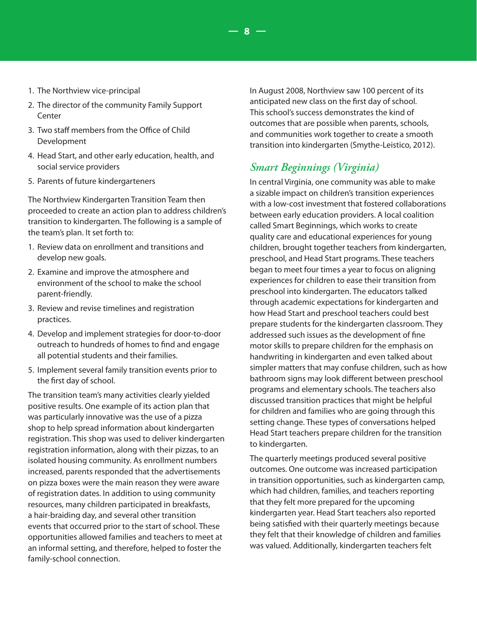- 1. The Northview vice-principal
- 2. The director of the community Family Support **Center**
- 3. Two staff members from the Office of Child Development
- 4. Head Start, and other early education, health, and social service providers
- 5. Parents of future kindergarteners

The Northview Kindergarten Transition Team then proceeded to create an action plan to address children's transition to kindergarten. The following is a sample of the team's plan. It set forth to:

- 1. Review data on enrollment and transitions and develop new goals.
- 2. Examine and improve the atmosphere and environment of the school to make the school parent-friendly.
- 3. Review and revise timelines and registration practices.
- 4. Develop and implement strategies for door-to-door outreach to hundreds of homes to find and engage all potential students and their families.
- 5. Implement several family transition events prior to the first day of school.

The transition team's many activities clearly yielded positive results. One example of its action plan that was particularly innovative was the use of a pizza shop to help spread information about kindergarten registration. This shop was used to deliver kindergarten registration information, along with their pizzas, to an isolated housing community. As enrollment numbers increased, parents responded that the advertisements on pizza boxes were the main reason they were aware of registration dates. In addition to using community resources, many children participated in breakfasts, a hair-braiding day, and several other transition events that occurred prior to the start of school. These opportunities allowed families and teachers to meet at an informal setting, and therefore, helped to foster the family-school connection.

In August 2008, Northview saw 100 percent of its anticipated new class on the first day of school. This school's success demonstrates the kind of outcomes that are possible when parents, schools, and communities work together to create a smooth transition into kindergarten (Smythe-Leistico, 2012).

# *Smart Beginnings (Virginia)*

 **— 8 —**

In central Virginia, one community was able to make a sizable impact on children's transition experiences with a low-cost investment that fostered collaborations between early education providers. A local coalition called Smart Beginnings, which works to create quality care and educational experiences for young children, brought together teachers from kindergarten, preschool, and Head Start programs. These teachers began to meet four times a year to focus on aligning experiences for children to ease their transition from preschool into kindergarten. The educators talked through academic expectations for kindergarten and how Head Start and preschool teachers could best prepare students for the kindergarten classroom. They addressed such issues as the development of fine motor skills to prepare children for the emphasis on handwriting in kindergarten and even talked about simpler matters that may confuse children, such as how bathroom signs may look different between preschool programs and elementary schools. The teachers also discussed transition practices that might be helpful for children and families who are going through this setting change. These types of conversations helped Head Start teachers prepare children for the transition to kindergarten.

The quarterly meetings produced several positive outcomes. One outcome was increased participation in transition opportunities, such as kindergarten camp, which had children, families, and teachers reporting that they felt more prepared for the upcoming kindergarten year. Head Start teachers also reported being satisfied with their quarterly meetings because they felt that their knowledge of children and families was valued. Additionally, kindergarten teachers felt